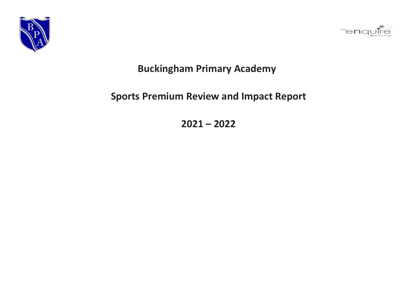



## **Buckingham Primary Academy**

## **Sports Premium Review and Impact Report**

**2021 – 2022**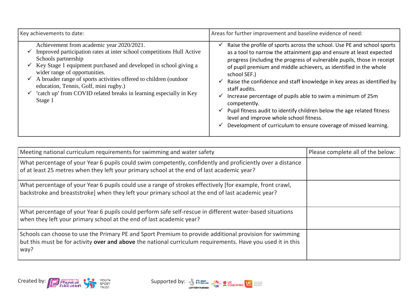| Key achievements to date:                                                                                                                                                                                                                                                                                                                                                                                                                     | Areas for further improvement and baseline evidence of need:                                                                                                                                                                                                                                                                                                                                                                                                                                                                                                                                                                                                                                                                                           |
|-----------------------------------------------------------------------------------------------------------------------------------------------------------------------------------------------------------------------------------------------------------------------------------------------------------------------------------------------------------------------------------------------------------------------------------------------|--------------------------------------------------------------------------------------------------------------------------------------------------------------------------------------------------------------------------------------------------------------------------------------------------------------------------------------------------------------------------------------------------------------------------------------------------------------------------------------------------------------------------------------------------------------------------------------------------------------------------------------------------------------------------------------------------------------------------------------------------------|
| Achievement from academic year 2020/2021.<br>Improved participation rates at inter school competitions Hull Active<br>Schools partnership<br>Key Stage 1 equipment purchased and developed in school giving a<br>wider range of opportunities.<br>A broader range of sports activities offered to children (outdoor<br>education, Tennis, Golf, mini rugby.)<br>'catch up' from COVID related breaks in learning especially in Key<br>Stage 1 | Raise the profile of sports across the school. Use PE and school sports<br>✔<br>as a tool to narrow the attainment gap and ensure at least expected<br>progress (including the progress of vulnerable pupils, those in receipt<br>of pupil premium and middle achievers, as identified in the whole<br>school SEF.)<br>Raise the confidence and staff knowledge in key areas as identified by<br>$\checkmark$<br>staff audits.<br>Increase percentage of pupils able to swim a minimum of 25m<br>$\checkmark$<br>competently.<br>Pupil fitness audit to identify children below the age related fitness<br>$\checkmark$<br>level and improve whole school fitness.<br>Development of curriculum to ensure coverage of missed learning.<br>$\checkmark$ |

| Meeting national curriculum requirements for swimming and water safety                                                                                                                                                         | Please complete all of the below: |
|--------------------------------------------------------------------------------------------------------------------------------------------------------------------------------------------------------------------------------|-----------------------------------|
| What percentage of your Year 6 pupils could swim competently, confidently and proficiently over a distance<br>of at least 25 metres when they left your primary school at the end of last academic year?                       |                                   |
| What percentage of your Year 6 pupils could use a range of strokes effectively [for example, front crawl,<br>backstroke and breaststroke] when they left your primary school at the end of last academic year?                 |                                   |
| What percentage of your Year 6 pupils could perform safe self-rescue in different water-based situations<br>when they left your primary school at the end of last academic year?                                               |                                   |
| Schools can choose to use the Primary PE and Sport Premium to provide additional provision for swimming<br>but this must be for activity over and above the national curriculum requirements. Have you used it in this<br>way? |                                   |

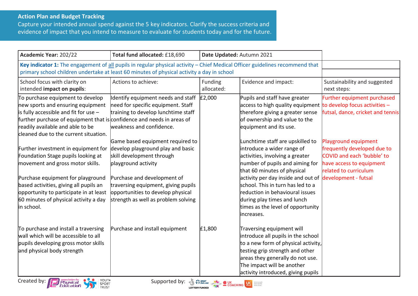## **Action Plan and Budget Tracking**

Capture your intended annual spend against the 5 key indicators. Clarify the success criteria and evidence of impact that you intend to measure to evaluate for students today and for the future.

| Academic Year: 202/22                                                                                                                                                                                                                                                                                                                                                                                                                                                                                                                                                          | Total fund allocated: £18,690                                                                                                                                                                                                                                                                                                                                                                                              | Date Updated: Autumn 2021 |                                                                                                                                                                                                                                                                                                                                                                                                                                                                                                                                                                                     |                                                                                                                                                                                                                                    |
|--------------------------------------------------------------------------------------------------------------------------------------------------------------------------------------------------------------------------------------------------------------------------------------------------------------------------------------------------------------------------------------------------------------------------------------------------------------------------------------------------------------------------------------------------------------------------------|----------------------------------------------------------------------------------------------------------------------------------------------------------------------------------------------------------------------------------------------------------------------------------------------------------------------------------------------------------------------------------------------------------------------------|---------------------------|-------------------------------------------------------------------------------------------------------------------------------------------------------------------------------------------------------------------------------------------------------------------------------------------------------------------------------------------------------------------------------------------------------------------------------------------------------------------------------------------------------------------------------------------------------------------------------------|------------------------------------------------------------------------------------------------------------------------------------------------------------------------------------------------------------------------------------|
| Key indicator 1: The engagement of all pupils in regular physical activity - Chief Medical Officer guidelines recommend that<br>primary school children undertake at least 60 minutes of physical activity a day in school                                                                                                                                                                                                                                                                                                                                                     |                                                                                                                                                                                                                                                                                                                                                                                                                            |                           |                                                                                                                                                                                                                                                                                                                                                                                                                                                                                                                                                                                     |                                                                                                                                                                                                                                    |
| School focus with clarity on<br>intended impact on pupils:                                                                                                                                                                                                                                                                                                                                                                                                                                                                                                                     | Actions to achieve:                                                                                                                                                                                                                                                                                                                                                                                                        | Funding<br>allocated:     | Evidence and impact:                                                                                                                                                                                                                                                                                                                                                                                                                                                                                                                                                                | Sustainability and suggested<br>next steps:                                                                                                                                                                                        |
| To purchase equipment to develop<br>new sports and ensuring equipment<br>$\vert$ is fully accessible and fit for use -<br>further purchase of equipment that is confidence and needs in areas of<br>readily available and able to be<br>cleaned due to the current situation.<br>Further investment in equipment for<br>Foundation Stage pupils looking at<br>movement and gross motor skills.<br>Purchase equipment for playground<br>based activities, giving all pupils an<br>opportunity to participate in at least<br>60 minutes of physical activity a day<br>in school. | Identify equipment needs and staff<br>need for specific equipment. Staff<br>training to develop lunchtime staff<br>weakness and confidence.<br>Game based equipment required to<br>develop playground play and basic<br>skill development through<br>playground activity<br>Purchase and development of<br>traversing equipment, giving pupils<br>opportunities to develop physical<br>strength as well as problem solving | £2,000                    | Pupils and staff have greater<br>access to high quality equipment $\frac{1}{10}$ develop focus activities $-$<br>therefore giving a greater sense<br>of ownership and value to the<br>equipment and its use.<br>Lunchtime staff are upskilled to<br>introduce a wider range of<br>activities, involving a greater<br>number of pupils and aiming for<br>that 60 minutes of physical<br>activity per day inside and out of<br>school. This in turn has led to a<br>reduction in behavioural issues<br>during play times and lunch<br>times as the level of opportunity<br>increases. | Further equipment purchased<br>futsal, dance, cricket and tennis<br>Playground equipment<br>frequently developed due to<br>COVID and each 'bubble' to<br>have access to equipment<br>related to curriculum<br>development - futsal |
| To purchase and install a traversing<br>wall which will be accessible to all<br>pupils developing gross motor skills<br>and physical body strength                                                                                                                                                                                                                                                                                                                                                                                                                             | Purchase and install equipment                                                                                                                                                                                                                                                                                                                                                                                             | £1,800                    | Traversing equipment will<br>introduce all pupils in the school<br>to a new form of physical activity,<br>testing grip strength and other<br>areas they generally do not use.<br>The impact will be another<br>activity introduced, giving pupils                                                                                                                                                                                                                                                                                                                                   |                                                                                                                                                                                                                                    |



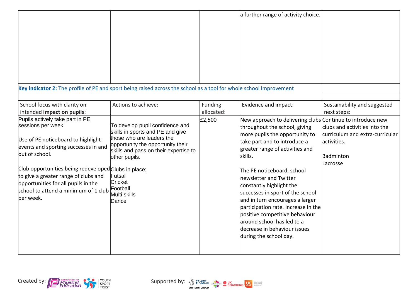|                                                                                                                                                                                                                                                                                                                                                   |                                                                                                                                                                                                                                                           |                       | a further range of activity choice.                                                                                                                                                                                                                                                                                                                                                                                                                                                                                                      |                                                                                                           |
|---------------------------------------------------------------------------------------------------------------------------------------------------------------------------------------------------------------------------------------------------------------------------------------------------------------------------------------------------|-----------------------------------------------------------------------------------------------------------------------------------------------------------------------------------------------------------------------------------------------------------|-----------------------|------------------------------------------------------------------------------------------------------------------------------------------------------------------------------------------------------------------------------------------------------------------------------------------------------------------------------------------------------------------------------------------------------------------------------------------------------------------------------------------------------------------------------------------|-----------------------------------------------------------------------------------------------------------|
| Key indicator 2: The profile of PE and sport being raised across the school as a tool for whole school improvement                                                                                                                                                                                                                                |                                                                                                                                                                                                                                                           |                       |                                                                                                                                                                                                                                                                                                                                                                                                                                                                                                                                          |                                                                                                           |
| School focus with clarity on<br>intended impact on pupils:                                                                                                                                                                                                                                                                                        | Actions to achieve:                                                                                                                                                                                                                                       | Funding<br>allocated: | Evidence and impact:                                                                                                                                                                                                                                                                                                                                                                                                                                                                                                                     | Sustainability and suggested<br>next steps:                                                               |
| Pupils actively take part in PE<br>sessions per week.<br>Use of PE noticeboard to highlight<br>events and sporting successes in and<br>out of school.<br>Club opportunities being redeveloped Clubs in place;<br>to give a greater range of clubs and<br>opportunities for all pupils in the<br>school to attend a minimum of 1 club<br>per week. | To develop pupil confidence and<br>skills in sports and PE and give<br>those who are leaders the<br>opportunity the opportunity their<br>skills and pass on their expertise to<br>other pupils.<br>Futsal<br>Cricket<br>Football<br>Multi skills<br>Dance | £2,500                | New approach to delivering clubs Continue to introduce new<br>throughout the school, giving<br>more pupils the opportunity to<br>take part and to introduce a<br>greater range of activities and<br>skills.<br>The PE noticeboard, school<br>newsletter and Twitter<br>constantly highlight the<br>successes in sport of the school<br>and in turn encourages a larger<br>participation rate. Increase in the<br>positive competitive behaviour<br>laround school has led to a<br>decrease in behaviour issues<br>during the school day. | clubs and activities into the<br>curriculum and extra-curricular<br>lactivities.<br>Badminton<br>Lacrosse |

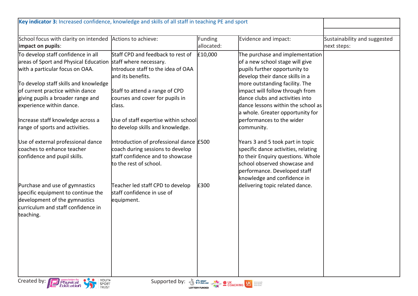| Key indicator 3: Increased confidence, knowledge and skills of all staff in teaching PE and sport                                                                                                                                                                                   |                                                                                                                                                                              |                              |                                                                                                                                                                                                                                                                                                                          |                                             |
|-------------------------------------------------------------------------------------------------------------------------------------------------------------------------------------------------------------------------------------------------------------------------------------|------------------------------------------------------------------------------------------------------------------------------------------------------------------------------|------------------------------|--------------------------------------------------------------------------------------------------------------------------------------------------------------------------------------------------------------------------------------------------------------------------------------------------------------------------|---------------------------------------------|
|                                                                                                                                                                                                                                                                                     |                                                                                                                                                                              |                              |                                                                                                                                                                                                                                                                                                                          |                                             |
| School focus with clarity on intended<br>impact on pupils:                                                                                                                                                                                                                          | Actions to achieve:                                                                                                                                                          | <b>Funding</b><br>allocated: | Evidence and impact:                                                                                                                                                                                                                                                                                                     | Sustainability and suggested<br>next steps: |
| To develop staff confidence in all<br>areas of Sport and Physical Education staff where necessary.<br>with a particular focus on OAA.<br>To develop staff skills and knowledge<br>of current practice within dance<br>giving pupils a broader range and<br>experience within dance. | Staff CPD and feedback to rest of<br>Introduce staff to the idea of OAA<br>land its benefits.<br>Staff to attend a range of CPD<br>courses and cover for pupils in<br>class. | £10,000                      | The purchase and implementation<br>of a new school stage will give<br>pupils further opportunity to<br>develop their dance skills in a<br>more outstanding facility. The<br>impact will follow through from<br>dance clubs and activities into<br>dance lessons within the school as<br>a whole. Greater opportunity for |                                             |
| Increase staff knowledge across a<br>range of sports and activities.                                                                                                                                                                                                                | Use of staff expertise within school<br>to develop skills and knowledge.                                                                                                     |                              | performances to the wider<br>community.                                                                                                                                                                                                                                                                                  |                                             |
| Use of external professional dance<br>coaches to enhance teacher<br>confidence and pupil skills.                                                                                                                                                                                    | Introduction of professional dance £500<br>coach during sessions to develop<br>staff confidence and to showcase<br>to the rest of school.                                    |                              | Years 3 and 5 took part in topic<br>specific dance activities, relating<br>to their Enquiry questions. Whole<br>school observed showcase and<br>performance. Developed staff<br>knowledge and confidence in                                                                                                              |                                             |
| Purchase and use of gymnastics<br>specific equipment to continue the<br>development of the gymnastics<br>curriculum and staff confidence in<br>teaching.                                                                                                                            | Teacher led staff CPD to develop<br>staff confidence in use of<br>equipment.                                                                                                 | £300                         | delivering topic related dance.                                                                                                                                                                                                                                                                                          |                                             |
| Created by: Physical<br>Education<br>YOUTH<br>Supported by: 3 Presence COACHING US STORED STATES<br>SPORT<br>TRUST                                                                                                                                                                  |                                                                                                                                                                              |                              |                                                                                                                                                                                                                                                                                                                          |                                             |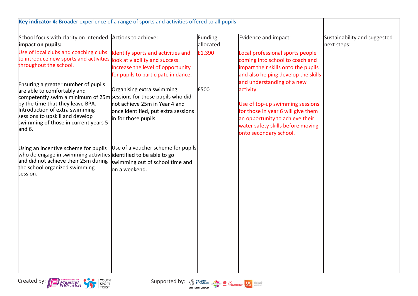| Key indicator 4: Broader experience of a range of sports and activities offered to all pupils                                                                                                                                                                 |                                                                                                                                                  |                       |                                                                                                                                                                                      |                                             |
|---------------------------------------------------------------------------------------------------------------------------------------------------------------------------------------------------------------------------------------------------------------|--------------------------------------------------------------------------------------------------------------------------------------------------|-----------------------|--------------------------------------------------------------------------------------------------------------------------------------------------------------------------------------|---------------------------------------------|
| School focus with clarity on intended Actions to achieve:<br>impact on pupils:                                                                                                                                                                                |                                                                                                                                                  | Funding<br>allocated: | Evidence and impact:                                                                                                                                                                 | Sustainability and suggested<br>next steps: |
| Use of local clubs and coaching clubs<br>to introduce new sports and activities<br>throughout the school.<br>Ensuring a greater number of pupils                                                                                                              | Identify sports and activities and<br>look at viability and success.<br>Increase the level of opportunity<br>for pupils to participate in dance. | £1,390                | Local professional sports people<br>coming into school to coach and<br>impart their skills onto the pupils<br>and also helping develop the skills<br>and understanding of a new      |                                             |
| are able to comfortably and<br>competently swim a minimum of 25m sessions for those pupils who did<br>by the time that they leave BPA.<br>Introduction of extra swimming<br>sessions to upskill and develop<br>swimming of those in current years 5<br>and 6. | Organising extra swimming<br>not achieve 25m in Year 4 and<br>once identified, put extra sessions<br>in for those pupils.                        | £500                  | activity.<br>Use of top-up swimming sessions<br>for those in year 6 will give them<br>an opportunity to achieve their<br>water safety skills before moving<br>onto secondary school. |                                             |
| Using an incentive scheme for pupils<br>who do engage in swimming activities identified to be able to go<br>and did not achieve their 25m during<br>the school organized swimming<br>session.                                                                 | Use of a voucher scheme for pupils<br>swimming out of school time and<br>lon a weekend.                                                          |                       |                                                                                                                                                                                      |                                             |
|                                                                                                                                                                                                                                                               |                                                                                                                                                  |                       |                                                                                                                                                                                      |                                             |